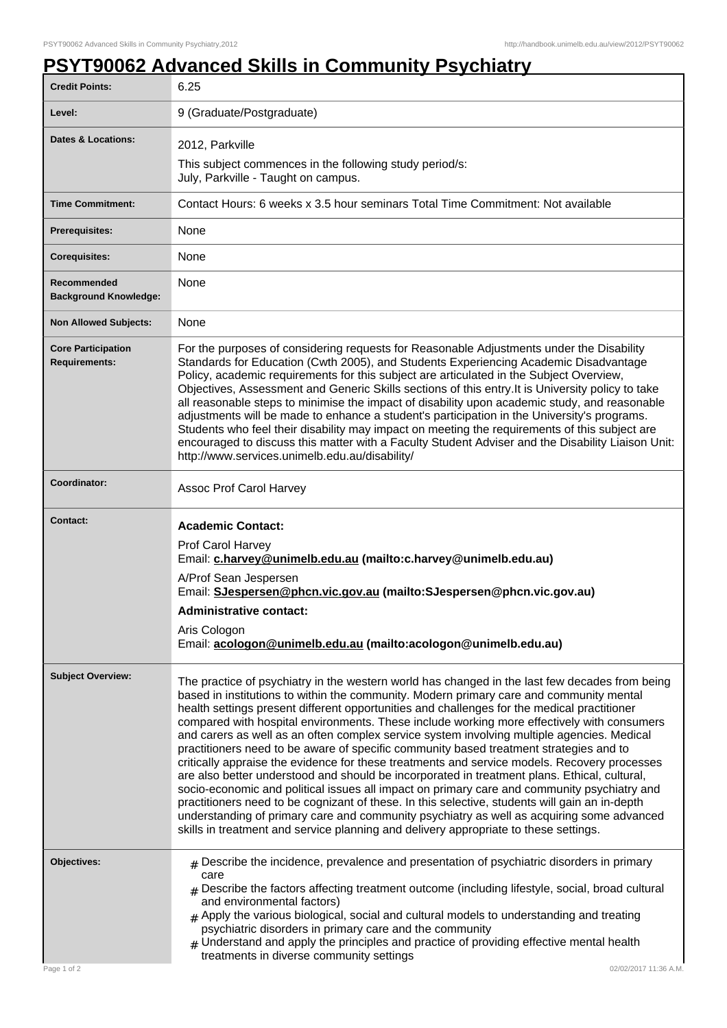## **PSYT90062 Advanced Skills in Community Psychiatry**

| <b>Credit Points:</b>                             | 6.25                                                                                                                                                                                                                                                                                                                                                                                                                                                                                                                                                                                                                                                                                                                                                                                                                                                                                                                                                                                                                                                                                                                                                                 |
|---------------------------------------------------|----------------------------------------------------------------------------------------------------------------------------------------------------------------------------------------------------------------------------------------------------------------------------------------------------------------------------------------------------------------------------------------------------------------------------------------------------------------------------------------------------------------------------------------------------------------------------------------------------------------------------------------------------------------------------------------------------------------------------------------------------------------------------------------------------------------------------------------------------------------------------------------------------------------------------------------------------------------------------------------------------------------------------------------------------------------------------------------------------------------------------------------------------------------------|
| Level:                                            | 9 (Graduate/Postgraduate)                                                                                                                                                                                                                                                                                                                                                                                                                                                                                                                                                                                                                                                                                                                                                                                                                                                                                                                                                                                                                                                                                                                                            |
| <b>Dates &amp; Locations:</b>                     | 2012, Parkville<br>This subject commences in the following study period/s:<br>July, Parkville - Taught on campus.                                                                                                                                                                                                                                                                                                                                                                                                                                                                                                                                                                                                                                                                                                                                                                                                                                                                                                                                                                                                                                                    |
| <b>Time Commitment:</b>                           | Contact Hours: 6 weeks x 3.5 hour seminars Total Time Commitment: Not available                                                                                                                                                                                                                                                                                                                                                                                                                                                                                                                                                                                                                                                                                                                                                                                                                                                                                                                                                                                                                                                                                      |
| <b>Prerequisites:</b>                             | None                                                                                                                                                                                                                                                                                                                                                                                                                                                                                                                                                                                                                                                                                                                                                                                                                                                                                                                                                                                                                                                                                                                                                                 |
| <b>Corequisites:</b>                              | None                                                                                                                                                                                                                                                                                                                                                                                                                                                                                                                                                                                                                                                                                                                                                                                                                                                                                                                                                                                                                                                                                                                                                                 |
| Recommended<br><b>Background Knowledge:</b>       | None                                                                                                                                                                                                                                                                                                                                                                                                                                                                                                                                                                                                                                                                                                                                                                                                                                                                                                                                                                                                                                                                                                                                                                 |
| <b>Non Allowed Subjects:</b>                      | None                                                                                                                                                                                                                                                                                                                                                                                                                                                                                                                                                                                                                                                                                                                                                                                                                                                                                                                                                                                                                                                                                                                                                                 |
| <b>Core Participation</b><br><b>Requirements:</b> | For the purposes of considering requests for Reasonable Adjustments under the Disability<br>Standards for Education (Cwth 2005), and Students Experiencing Academic Disadvantage<br>Policy, academic requirements for this subject are articulated in the Subject Overview,<br>Objectives, Assessment and Generic Skills sections of this entry. It is University policy to take<br>all reasonable steps to minimise the impact of disability upon academic study, and reasonable<br>adjustments will be made to enhance a student's participation in the University's programs.<br>Students who feel their disability may impact on meeting the requirements of this subject are<br>encouraged to discuss this matter with a Faculty Student Adviser and the Disability Liaison Unit:<br>http://www.services.unimelb.edu.au/disability/                                                                                                                                                                                                                                                                                                                             |
| Coordinator:                                      | Assoc Prof Carol Harvey                                                                                                                                                                                                                                                                                                                                                                                                                                                                                                                                                                                                                                                                                                                                                                                                                                                                                                                                                                                                                                                                                                                                              |
| Contact:                                          | <b>Academic Contact:</b><br>Prof Carol Harvey<br>Email: c.harvey@unimelb.edu.au (mailto:c.harvey@unimelb.edu.au)<br>A/Prof Sean Jespersen<br>Email: SJespersen@phcn.vic.gov.au (mailto:SJespersen@phcn.vic.gov.au)<br><b>Administrative contact:</b><br>Aris Cologon<br>Email: acologon@unimelb.edu.au (mailto:acologon@unimelb.edu.au)                                                                                                                                                                                                                                                                                                                                                                                                                                                                                                                                                                                                                                                                                                                                                                                                                              |
| <b>Subject Overview:</b>                          | The practice of psychiatry in the western world has changed in the last few decades from being<br>based in institutions to within the community. Modern primary care and community mental<br>health settings present different opportunities and challenges for the medical practitioner<br>compared with hospital environments. These include working more effectively with consumers<br>and carers as well as an often complex service system involving multiple agencies. Medical<br>practitioners need to be aware of specific community based treatment strategies and to<br>critically appraise the evidence for these treatments and service models. Recovery processes<br>are also better understood and should be incorporated in treatment plans. Ethical, cultural,<br>socio-economic and political issues all impact on primary care and community psychiatry and<br>practitioners need to be cognizant of these. In this selective, students will gain an in-depth<br>understanding of primary care and community psychiatry as well as acquiring some advanced<br>skills in treatment and service planning and delivery appropriate to these settings. |
| Objectives:<br>Page 1 of 2                        | $_{\#}$ Describe the incidence, prevalence and presentation of psychiatric disorders in primary<br>care<br>$#$ Describe the factors affecting treatment outcome (including lifestyle, social, broad cultural<br>and environmental factors)<br>$#$ Apply the various biological, social and cultural models to understanding and treating<br>psychiatric disorders in primary care and the community<br>$*$ Understand and apply the principles and practice of providing effective mental health<br>treatments in diverse community settings<br>02/02/2017 11:36 A.M.                                                                                                                                                                                                                                                                                                                                                                                                                                                                                                                                                                                                |